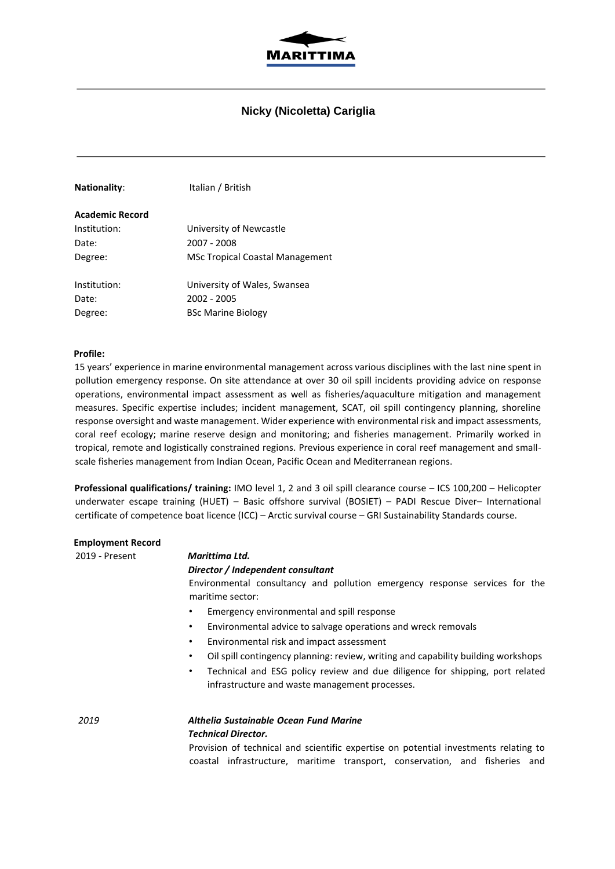

## **Nicky (Nicoletta) Cariglia**

| <b>Nationality:</b> | Italian / British                      |
|---------------------|----------------------------------------|
| Academic Record     |                                        |
| Institution:        | University of Newcastle                |
| Date:               | 2007 - 2008                            |
| Degree:             | <b>MSc Tropical Coastal Management</b> |
| Institution:        | University of Wales, Swansea           |
| Date:               | 2002 - 2005                            |
| Degree:             | <b>BSc Marine Biology</b>              |

#### **Profile:**

15 years' experience in marine environmental management across various disciplines with the last nine spent in pollution emergency response. On site attendance at over 30 oil spill incidents providing advice on response operations, environmental impact assessment as well as fisheries/aquaculture mitigation and management measures. Specific expertise includes; incident management, SCAT, oil spill contingency planning, shoreline response oversight and waste management. Wider experience with environmental risk and impact assessments, coral reef ecology; marine reserve design and monitoring; and fisheries management. Primarily worked in tropical, remote and logistically constrained regions. Previous experience in coral reef management and smallscale fisheries management from Indian Ocean, Pacific Ocean and Mediterranean regions.

**Professional qualifications/ training:** IMO level 1, 2 and 3 oil spill clearance course – ICS 100,200 – Helicopter underwater escape training (HUET) – Basic offshore survival (BOSIET) – PADI Rescue Diver– International certificate of competence boat licence (ICC) – Arctic survival course – GRI Sustainability Standards course.

| <b>Employment Record</b> |                                                                                                 |  |  |
|--------------------------|-------------------------------------------------------------------------------------------------|--|--|
| 2019 - Present           | Marittima Ltd.                                                                                  |  |  |
|                          | Director / Independent consultant                                                               |  |  |
|                          | Environmental consultancy and pollution emergency response services for the<br>maritime sector: |  |  |
|                          | Emergency environmental and spill response<br>٠                                                 |  |  |
|                          | Environmental advice to salvage operations and wreck removals<br>٠                              |  |  |
|                          | Environmental risk and impact assessment<br>٠                                                   |  |  |
|                          | Oil spill contingency planning: review, writing and capability building workshops<br>٠          |  |  |
|                          | Technical and ESG policy review and due diligence for shipping, port related<br>٠               |  |  |
|                          | infrastructure and waste management processes.                                                  |  |  |
| 2019                     | Althelia Sustainable Ocean Fund Marine<br>Technical Director.                                   |  |  |

Provision of technical and scientific expertise on potential investments relating to coastal infrastructure, maritime transport, conservation, and fisheries and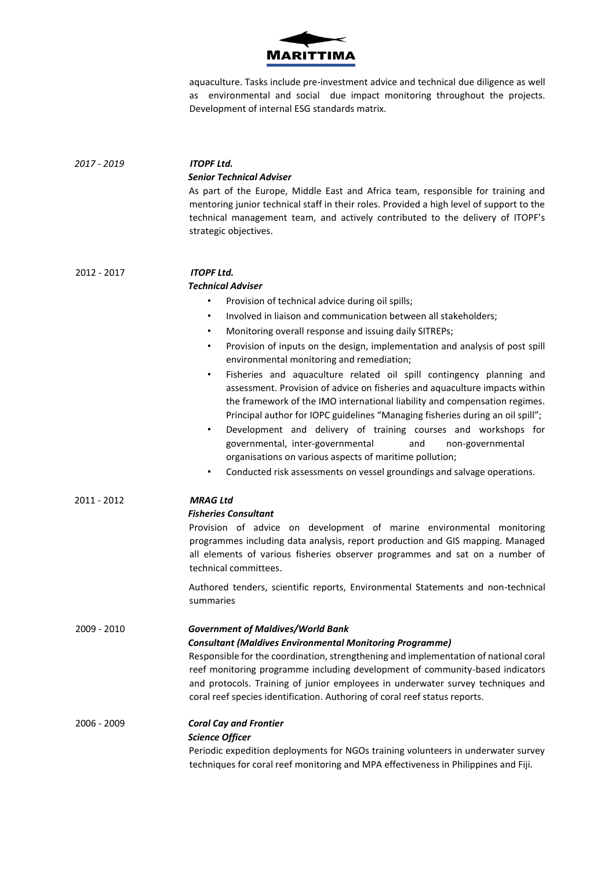

aquaculture. Tasks include pre-investment advice and technical due diligence as well as environmental and social due impact monitoring throughout the projects. Development of internal ESG standards matrix.

| 2017 - 2019 | <b>ITOPF Ltd.</b>                                                                                                                                                                                                                                                                                                                                                                                                                                                                                                                                                                                                         |
|-------------|---------------------------------------------------------------------------------------------------------------------------------------------------------------------------------------------------------------------------------------------------------------------------------------------------------------------------------------------------------------------------------------------------------------------------------------------------------------------------------------------------------------------------------------------------------------------------------------------------------------------------|
|             | <b>Senior Technical Adviser</b>                                                                                                                                                                                                                                                                                                                                                                                                                                                                                                                                                                                           |
|             | As part of the Europe, Middle East and Africa team, responsible for training and<br>mentoring junior technical staff in their roles. Provided a high level of support to the<br>technical management team, and actively contributed to the delivery of ITOPF's<br>strategic objectives.                                                                                                                                                                                                                                                                                                                                   |
| 2012 - 2017 | <b>ITOPF Ltd.</b>                                                                                                                                                                                                                                                                                                                                                                                                                                                                                                                                                                                                         |
|             | <b>Technical Adviser</b>                                                                                                                                                                                                                                                                                                                                                                                                                                                                                                                                                                                                  |
|             | Provision of technical advice during oil spills;<br>$\bullet$                                                                                                                                                                                                                                                                                                                                                                                                                                                                                                                                                             |
|             | Involved in liaison and communication between all stakeholders;<br>٠                                                                                                                                                                                                                                                                                                                                                                                                                                                                                                                                                      |
|             | Monitoring overall response and issuing daily SITREPs;<br>$\bullet$                                                                                                                                                                                                                                                                                                                                                                                                                                                                                                                                                       |
|             | Provision of inputs on the design, implementation and analysis of post spill<br>٠<br>environmental monitoring and remediation;                                                                                                                                                                                                                                                                                                                                                                                                                                                                                            |
|             | Fisheries and aquaculture related oil spill contingency planning and<br>$\bullet$<br>assessment. Provision of advice on fisheries and aquaculture impacts within<br>the framework of the IMO international liability and compensation regimes.<br>Principal author for IOPC guidelines "Managing fisheries during an oil spill";<br>Development and delivery of training courses and workshops for<br>$\bullet$<br>and<br>governmental, inter-governmental<br>non-governmental<br>organisations on various aspects of maritime pollution;<br>Conducted risk assessments on vessel groundings and salvage operations.<br>٠ |
| 2011 - 2012 | <b>MRAG Ltd</b>                                                                                                                                                                                                                                                                                                                                                                                                                                                                                                                                                                                                           |
|             | <b>Fisheries Consultant</b><br>Provision of advice on development of marine environmental monitoring<br>programmes including data analysis, report production and GIS mapping. Managed<br>all elements of various fisheries observer programmes and sat on a number of<br>technical committees.                                                                                                                                                                                                                                                                                                                           |
|             | Authored tenders, scientific reports, Environmental Statements and non-technical<br>summaries                                                                                                                                                                                                                                                                                                                                                                                                                                                                                                                             |
| 2009 - 2010 | <b>Government of Maldives/World Bank</b><br><b>Consultant (Maldives Environmental Monitoring Programme)</b><br>Responsible for the coordination, strengthening and implementation of national coral<br>reef monitoring programme including development of community-based indicators<br>and protocols. Training of junior employees in underwater survey techniques and<br>coral reef species identification. Authoring of coral reef status reports.                                                                                                                                                                     |
| 2006 - 2009 | <b>Coral Cay and Frontier</b><br><b>Science Officer</b><br>Periodic expedition deployments for NGOs training volunteers in underwater survey<br>techniques for coral reef monitoring and MPA effectiveness in Philippines and Fiji.                                                                                                                                                                                                                                                                                                                                                                                       |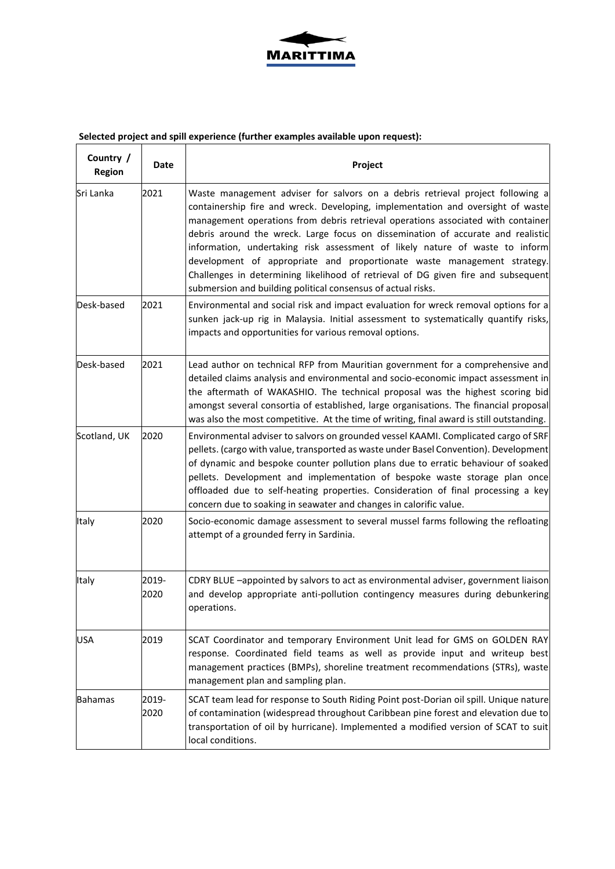

# Selected project and spill experience (further examples available upon request):

| Country /<br>Region | Date          | Project                                                                                                                                                                                                                                                                                                                                                                                                                                                                                                                                                                                                                                                  |
|---------------------|---------------|----------------------------------------------------------------------------------------------------------------------------------------------------------------------------------------------------------------------------------------------------------------------------------------------------------------------------------------------------------------------------------------------------------------------------------------------------------------------------------------------------------------------------------------------------------------------------------------------------------------------------------------------------------|
| Sri Lanka           | 2021          | Waste management adviser for salvors on a debris retrieval project following a<br>containership fire and wreck. Developing, implementation and oversight of waste<br>management operations from debris retrieval operations associated with container<br>debris around the wreck. Large focus on dissemination of accurate and realistic<br>information, undertaking risk assessment of likely nature of waste to inform<br>development of appropriate and proportionate waste management strategy.<br>Challenges in determining likelihood of retrieval of DG given fire and subsequent<br>submersion and building political consensus of actual risks. |
| Desk-based          | 2021          | Environmental and social risk and impact evaluation for wreck removal options for a<br>sunken jack-up rig in Malaysia. Initial assessment to systematically quantify risks,<br>impacts and opportunities for various removal options.                                                                                                                                                                                                                                                                                                                                                                                                                    |
| Desk-based          | 2021          | Lead author on technical RFP from Mauritian government for a comprehensive and<br>detailed claims analysis and environmental and socio-economic impact assessment in<br>the aftermath of WAKASHIO. The technical proposal was the highest scoring bid<br>amongst several consortia of established, large organisations. The financial proposal<br>was also the most competitive. At the time of writing, final award is still outstanding.                                                                                                                                                                                                               |
| Scotland, UK        | 2020          | Environmental adviser to salvors on grounded vessel KAAMI. Complicated cargo of SRF<br>pellets. (cargo with value, transported as waste under Basel Convention). Development<br>of dynamic and bespoke counter pollution plans due to erratic behaviour of soaked<br>pellets. Development and implementation of bespoke waste storage plan once<br>offloaded due to self-heating properties. Consideration of final processing a key<br>concern due to soaking in seawater and changes in calorific value.                                                                                                                                               |
| Italy               | 2020          | Socio-economic damage assessment to several mussel farms following the refloating<br>attempt of a grounded ferry in Sardinia.                                                                                                                                                                                                                                                                                                                                                                                                                                                                                                                            |
| Italy               | 2019-<br>2020 | CDRY BLUE -appointed by salvors to act as environmental adviser, government liaison<br>and develop appropriate anti-pollution contingency measures during debunkering<br>operations.                                                                                                                                                                                                                                                                                                                                                                                                                                                                     |
| <b>USA</b>          | 2019          | SCAT Coordinator and temporary Environment Unit lead for GMS on GOLDEN RAY<br>response. Coordinated field teams as well as provide input and writeup best<br>management practices (BMPs), shoreline treatment recommendations (STRs), waste<br>management plan and sampling plan.                                                                                                                                                                                                                                                                                                                                                                        |
| <b>Bahamas</b>      | 2019-<br>2020 | SCAT team lead for response to South Riding Point post-Dorian oil spill. Unique nature<br>of contamination (widespread throughout Caribbean pine forest and elevation due to<br>transportation of oil by hurricane). Implemented a modified version of SCAT to suit<br>local conditions.                                                                                                                                                                                                                                                                                                                                                                 |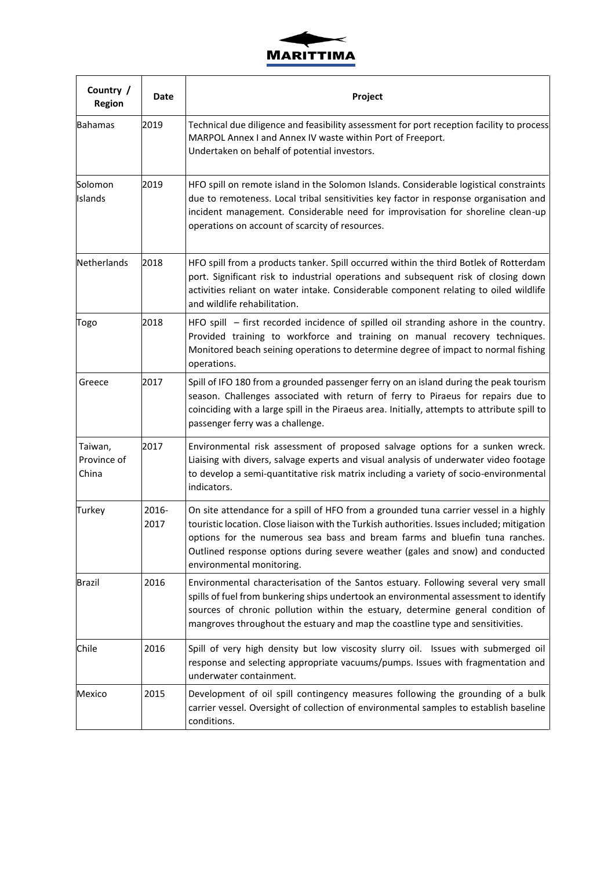

| Country /<br><b>Region</b>      | Date          | Project                                                                                                                                                                                                                                                                                                                                                                            |
|---------------------------------|---------------|------------------------------------------------------------------------------------------------------------------------------------------------------------------------------------------------------------------------------------------------------------------------------------------------------------------------------------------------------------------------------------|
| <b>Bahamas</b>                  | 2019          | Technical due diligence and feasibility assessment for port reception facility to process<br>MARPOL Annex I and Annex IV waste within Port of Freeport.<br>Undertaken on behalf of potential investors.                                                                                                                                                                            |
| Solomon<br>Islands              | 2019          | HFO spill on remote island in the Solomon Islands. Considerable logistical constraints<br>due to remoteness. Local tribal sensitivities key factor in response organisation and<br>incident management. Considerable need for improvisation for shoreline clean-up<br>operations on account of scarcity of resources.                                                              |
| Netherlands                     | 2018          | HFO spill from a products tanker. Spill occurred within the third Botlek of Rotterdam<br>port. Significant risk to industrial operations and subsequent risk of closing down<br>activities reliant on water intake. Considerable component relating to oiled wildlife<br>and wildlife rehabilitation.                                                                              |
| Togo                            | 2018          | HFO spill – first recorded incidence of spilled oil stranding ashore in the country.<br>Provided training to workforce and training on manual recovery techniques.<br>Monitored beach seining operations to determine degree of impact to normal fishing<br>operations.                                                                                                            |
| Greece                          | 2017          | Spill of IFO 180 from a grounded passenger ferry on an island during the peak tourism<br>season. Challenges associated with return of ferry to Piraeus for repairs due to<br>coinciding with a large spill in the Piraeus area. Initially, attempts to attribute spill to<br>passenger ferry was a challenge.                                                                      |
| Taiwan,<br>Province of<br>China | 2017          | Environmental risk assessment of proposed salvage options for a sunken wreck.<br>Liaising with divers, salvage experts and visual analysis of underwater video footage<br>to develop a semi-quantitative risk matrix including a variety of socio-environmental<br>indicators.                                                                                                     |
| Turkey                          | 2016-<br>2017 | On site attendance for a spill of HFO from a grounded tuna carrier vessel in a highly<br>touristic location. Close liaison with the Turkish authorities. Issues included; mitigation<br>options for the numerous sea bass and bream farms and bluefin tuna ranches.<br>Outlined response options during severe weather (gales and snow) and conducted<br>environmental monitoring. |
| Brazil                          | 2016          | Environmental characterisation of the Santos estuary. Following several very small<br>spills of fuel from bunkering ships undertook an environmental assessment to identify<br>sources of chronic pollution within the estuary, determine general condition of<br>mangroves throughout the estuary and map the coastline type and sensitivities.                                   |
| Chile                           | 2016          | Spill of very high density but low viscosity slurry oil. Issues with submerged oil<br>response and selecting appropriate vacuums/pumps. Issues with fragmentation and<br>underwater containment.                                                                                                                                                                                   |
| Mexico                          | 2015          | Development of oil spill contingency measures following the grounding of a bulk<br>carrier vessel. Oversight of collection of environmental samples to establish baseline<br>conditions.                                                                                                                                                                                           |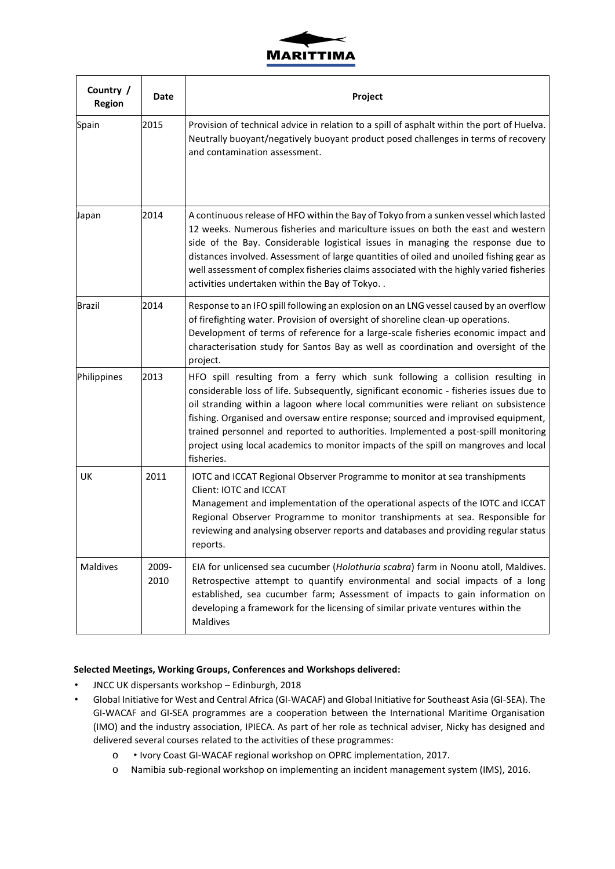

| Country /<br>Region | Date          | Project                                                                                                                                                                                                                                                                                                                                                                                                                                                                                                                                         |
|---------------------|---------------|-------------------------------------------------------------------------------------------------------------------------------------------------------------------------------------------------------------------------------------------------------------------------------------------------------------------------------------------------------------------------------------------------------------------------------------------------------------------------------------------------------------------------------------------------|
| Spain               | 2015          | Provision of technical advice in relation to a spill of asphalt within the port of Huelva.<br>Neutrally buoyant/negatively buoyant product posed challenges in terms of recovery<br>and contamination assessment.                                                                                                                                                                                                                                                                                                                               |
| Japan               | 2014          | A continuous release of HFO within the Bay of Tokyo from a sunken vessel which lasted<br>12 weeks. Numerous fisheries and mariculture issues on both the east and western<br>side of the Bay. Considerable logistical issues in managing the response due to<br>distances involved. Assessment of large quantities of oiled and unoiled fishing gear as<br>well assessment of complex fisheries claims associated with the highly varied fisheries<br>activities undertaken within the Bay of Tokyo                                             |
| <b>Brazil</b>       | 2014          | Response to an IFO spill following an explosion on an LNG vessel caused by an overflow<br>of firefighting water. Provision of oversight of shoreline clean-up operations.<br>Development of terms of reference for a large-scale fisheries economic impact and<br>characterisation study for Santos Bay as well as coordination and oversight of the<br>project.                                                                                                                                                                                |
| Philippines         | 2013          | HFO spill resulting from a ferry which sunk following a collision resulting in<br>considerable loss of life. Subsequently, significant economic - fisheries issues due to<br>oil stranding within a lagoon where local communities were reliant on subsistence<br>fishing. Organised and oversaw entire response; sourced and improvised equipment,<br>trained personnel and reported to authorities. Implemented a post-spill monitoring<br>project using local academics to monitor impacts of the spill on mangroves and local<br>fisheries. |
| UK                  | 2011          | IOTC and ICCAT Regional Observer Programme to monitor at sea transhipments<br>Client: IOTC and ICCAT<br>Management and implementation of the operational aspects of the IOTC and ICCAT<br>Regional Observer Programme to monitor transhipments at sea. Responsible for<br>reviewing and analysing observer reports and databases and providing regular status<br>reports.                                                                                                                                                                       |
| <b>Maldives</b>     | 2009-<br>2010 | EIA for unlicensed sea cucumber (Holothuria scabra) farm in Noonu atoll, Maldives.<br>Retrospective attempt to quantify environmental and social impacts of a long<br>established, sea cucumber farm; Assessment of impacts to gain information on<br>developing a framework for the licensing of similar private ventures within the<br>Maldives                                                                                                                                                                                               |

## **Selected Meetings, Working Groups, Conferences and Workshops delivered:**

- JNCC UK dispersants workshop Edinburgh, 2018
- Global Initiative for West and Central Africa (GI-WACAF) and Global Initiative for Southeast Asia (GI-SEA). The GI-WACAF and GI-SEA programmes are a cooperation between the International Maritime Organisation (IMO) and the industry association, IPIECA. As part of her role as technical adviser, Nicky has designed and delivered several courses related to the activities of these programmes:
	- o Ivory Coast GI-WACAF regional workshop on OPRC implementation, 2017.
	- o Namibia sub-regional workshop on implementing an incident management system (IMS), 2016.